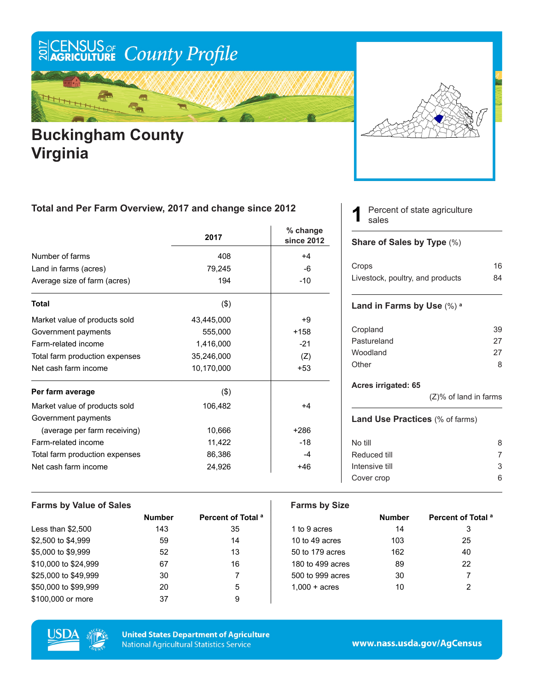

## **Buckingham County Virginia**



### **Total and Per Farm Overview, 2017 and change since 2012**

|                                | 2017       | $%$ change<br>since 2012 |
|--------------------------------|------------|--------------------------|
| Number of farms                | 408        | $+4$                     |
| Land in farms (acres)          | 79,245     | -6                       |
| Average size of farm (acres)   | 194        | $-10$                    |
| <b>Total</b>                   | $($ \$)    |                          |
| Market value of products sold  | 43,445,000 | +9                       |
| Government payments            | 555,000    | $+158$                   |
| Farm-related income            | 1,416,000  | $-21$                    |
| Total farm production expenses | 35,246,000 | (Z)                      |
| Net cash farm income           | 10,170,000 | $+53$                    |
| Per farm average               | $($ \$)    |                          |
| Market value of products sold  | 106,482    | +4                       |
| Government payments            |            |                          |
| (average per farm receiving)   | 10,666     | $+286$                   |
| Farm-related income            | 11,422     | $-18$                    |
| Total farm production expenses | 86,386     | -4                       |
| Net cash farm income           | 24,926     | +46                      |

#### Percent of state agriculture sales **1**

#### **Share of Sales by Type** (%)

| Crops                            | 16 |
|----------------------------------|----|
| Livestock, poultry, and products | 84 |

#### **Land in Farms by Use** (%) **<sup>a</sup>**

| Cropland    | 39 |
|-------------|----|
| Pastureland | 27 |
| Woodland    | 27 |
| Other       | 8  |

#### **Acres irrigated: 65**

(Z)% of land in farms

#### **Land Use Practices** (% of farms)

| No till        | 8 |
|----------------|---|
| Reduced till   |   |
| Intensive till | 3 |
| Cover crop     |   |
|                |   |

| <b>Farms by Value of Sales</b> |               |                               | <b>Farms by Size</b>   |               |                               |
|--------------------------------|---------------|-------------------------------|------------------------|---------------|-------------------------------|
|                                | <b>Number</b> | Percent of Total <sup>a</sup> |                        | <b>Number</b> | Percent of Total <sup>a</sup> |
| Less than $$2,500$             | 143           | 35                            | 1 to 9 acres           | 14            | 3                             |
| \$2,500 to \$4,999             | 59            | 14                            | 10 to 49 acres         | 103           | 25                            |
| \$5,000 to \$9,999             | 52            | 13                            | 50 to 179 acres        | 162           | 40                            |
| \$10,000 to \$24,999           | 67            | 16                            | 180 to 499 acres       | 89            | 22                            |
| \$25,000 to \$49.999           | 30            |                               | 500 to 999 acres       | 30            |                               |
| \$50,000 to \$99,999           | 20            | 5                             | $1.000 + \text{acres}$ | 10            | 2                             |
| \$100,000 or more              | 37            | 9                             |                        |               |                               |



**United States Department of Agriculture National Agricultural Statistics Service** 

www.nass.usda.gov/AgCensus